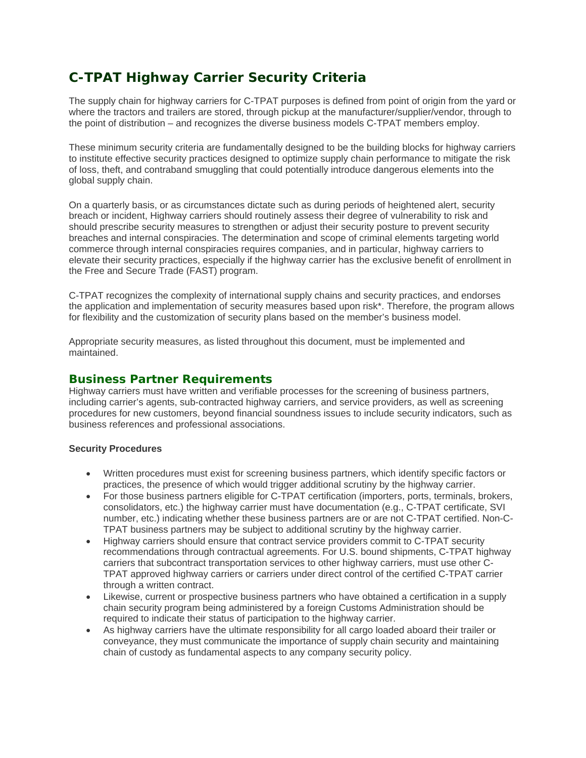# **C-TPAT Highway Carrier Security Criteria**

The supply chain for highway carriers for C-TPAT purposes is defined from point of origin from the yard or where the tractors and trailers are stored, through pickup at the manufacturer/supplier/vendor, through to the point of distribution – and recognizes the diverse business models C-TPAT members employ.

These minimum security criteria are fundamentally designed to be the building blocks for highway carriers to institute effective security practices designed to optimize supply chain performance to mitigate the risk of loss, theft, and contraband smuggling that could potentially introduce dangerous elements into the global supply chain.

On a quarterly basis, or as circumstances dictate such as during periods of heightened alert, security breach or incident, Highway carriers should routinely assess their degree of vulnerability to risk and should prescribe security measures to strengthen or adjust their security posture to prevent security breaches and internal conspiracies. The determination and scope of criminal elements targeting world commerce through internal conspiracies requires companies, and in particular, highway carriers to elevate their security practices, especially if the highway carrier has the exclusive benefit of enrollment in the Free and Secure Trade (FAST) program.

C-TPAT recognizes the complexity of international supply chains and security practices, and endorses the application and implementation of security measures based upon risk\*. Therefore, the program allows for flexibility and the customization of security plans based on the member's business model.

Appropriate security measures, as listed throughout this document, must be implemented and maintained.

### **Business Partner Requirements**

Highway carriers must have written and verifiable processes for the screening of business partners, including carrier's agents, sub-contracted highway carriers, and service providers, as well as screening procedures for new customers, beyond financial soundness issues to include security indicators, such as business references and professional associations.

#### **Security Procedures**

- Written procedures must exist for screening business partners, which identify specific factors or practices, the presence of which would trigger additional scrutiny by the highway carrier.
- For those business partners eligible for C-TPAT certification (importers, ports, terminals, brokers, consolidators, etc.) the highway carrier must have documentation (e.g., C-TPAT certificate, SVI number, etc.) indicating whether these business partners are or are not C-TPAT certified. Non-C-TPAT business partners may be subject to additional scrutiny by the highway carrier.
- Highway carriers should ensure that contract service providers commit to C-TPAT security recommendations through contractual agreements. For U.S. bound shipments, C-TPAT highway carriers that subcontract transportation services to other highway carriers, must use other C-TPAT approved highway carriers or carriers under direct control of the certified C-TPAT carrier through a written contract.
- Likewise, current or prospective business partners who have obtained a certification in a supply chain security program being administered by a foreign Customs Administration should be required to indicate their status of participation to the highway carrier.
- As highway carriers have the ultimate responsibility for all cargo loaded aboard their trailer or conveyance, they must communicate the importance of supply chain security and maintaining chain of custody as fundamental aspects to any company security policy.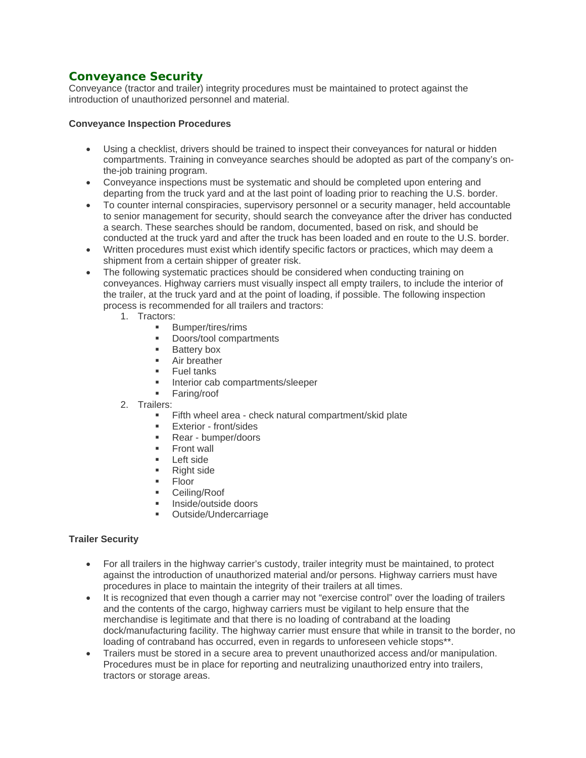# **Conveyance Security**

Conveyance (tractor and trailer) integrity procedures must be maintained to protect against the introduction of unauthorized personnel and material.

### **Conveyance Inspection Procedures**

- Using a checklist, drivers should be trained to inspect their conveyances for natural or hidden compartments. Training in conveyance searches should be adopted as part of the company's onthe-job training program.
- Conveyance inspections must be systematic and should be completed upon entering and departing from the truck yard and at the last point of loading prior to reaching the U.S. border.
- To counter internal conspiracies, supervisory personnel or a security manager, held accountable to senior management for security, should search the conveyance after the driver has conducted a search. These searches should be random, documented, based on risk, and should be conducted at the truck yard and after the truck has been loaded and en route to the U.S. border.
- Written procedures must exist which identify specific factors or practices, which may deem a shipment from a certain shipper of greater risk.
- The following systematic practices should be considered when conducting training on conveyances. Highway carriers must visually inspect all empty trailers, to include the interior of the trailer, at the truck yard and at the point of loading, if possible. The following inspection process is recommended for all trailers and tractors:
	- 1. Tractors:
		- **Bumper/tires/rims**
		- Doors/tool compartments
		- **Battery box**<br>**Battery box**<br>**Batter**
		- Air breather
		- $\blacksquare$  Fuel tanks
		- **Interior cab compartments/sleeper**
		- **Faring/roof**
	- 2. Trailers:
		- Fifth wheel area check natural compartment/skid plate
		- **Exterior front/sides**
		- Rear bumper/doors
		- **Front wall**
		- **Left side**
		- Right side
		- **Floor**
		- Ceiling/Roof
		- Inside/outside doors
		- Outside/Undercarriage

### **Trailer Security**

- For all trailers in the highway carrier's custody, trailer integrity must be maintained, to protect against the introduction of unauthorized material and/or persons. Highway carriers must have procedures in place to maintain the integrity of their trailers at all times.
- It is recognized that even though a carrier may not "exercise control" over the loading of trailers and the contents of the cargo, highway carriers must be vigilant to help ensure that the merchandise is legitimate and that there is no loading of contraband at the loading dock/manufacturing facility. The highway carrier must ensure that while in transit to the border, no loading of contraband has occurred, even in regards to unforeseen vehicle stops\*\*.
- Trailers must be stored in a secure area to prevent unauthorized access and/or manipulation. Procedures must be in place for reporting and neutralizing unauthorized entry into trailers, tractors or storage areas.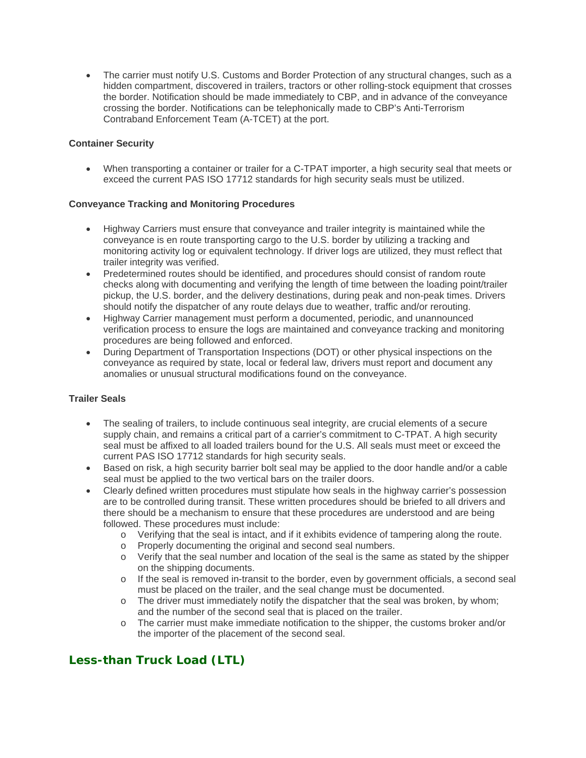The carrier must notify U.S. Customs and Border Protection of any structural changes, such as a hidden compartment, discovered in trailers, tractors or other rolling-stock equipment that crosses the border. Notification should be made immediately to CBP, and in advance of the conveyance crossing the border. Notifications can be telephonically made to CBP's Anti-Terrorism Contraband Enforcement Team (A-TCET) at the port.

### **Container Security**

 When transporting a container or trailer for a C-TPAT importer, a high security seal that meets or exceed the current PAS ISO 17712 standards for high security seals must be utilized.

### **Conveyance Tracking and Monitoring Procedures**

- Highway Carriers must ensure that conveyance and trailer integrity is maintained while the conveyance is en route transporting cargo to the U.S. border by utilizing a tracking and monitoring activity log or equivalent technology. If driver logs are utilized, they must reflect that trailer integrity was verified.
- Predetermined routes should be identified, and procedures should consist of random route checks along with documenting and verifying the length of time between the loading point/trailer pickup, the U.S. border, and the delivery destinations, during peak and non-peak times. Drivers should notify the dispatcher of any route delays due to weather, traffic and/or rerouting.
- Highway Carrier management must perform a documented, periodic, and unannounced verification process to ensure the logs are maintained and conveyance tracking and monitoring procedures are being followed and enforced.
- During Department of Transportation Inspections (DOT) or other physical inspections on the conveyance as required by state, local or federal law, drivers must report and document any anomalies or unusual structural modifications found on the conveyance.

### **Trailer Seals**

- The sealing of trailers, to include continuous seal integrity, are crucial elements of a secure supply chain, and remains a critical part of a carrier's commitment to C-TPAT. A high security seal must be affixed to all loaded trailers bound for the U.S. All seals must meet or exceed the current PAS ISO 17712 standards for high security seals.
- Based on risk, a high security barrier bolt seal may be applied to the door handle and/or a cable seal must be applied to the two vertical bars on the trailer doors.
- Clearly defined written procedures must stipulate how seals in the highway carrier's possession are to be controlled during transit. These written procedures should be briefed to all drivers and there should be a mechanism to ensure that these procedures are understood and are being followed. These procedures must include:
	- o Verifying that the seal is intact, and if it exhibits evidence of tampering along the route.
	- o Properly documenting the original and second seal numbers.
	- o Verify that the seal number and location of the seal is the same as stated by the shipper on the shipping documents.
	- o If the seal is removed in-transit to the border, even by government officials, a second seal must be placed on the trailer, and the seal change must be documented.
	- o The driver must immediately notify the dispatcher that the seal was broken, by whom; and the number of the second seal that is placed on the trailer.
	- o The carrier must make immediate notification to the shipper, the customs broker and/or the importer of the placement of the second seal.

# **Less-than Truck Load (LTL)**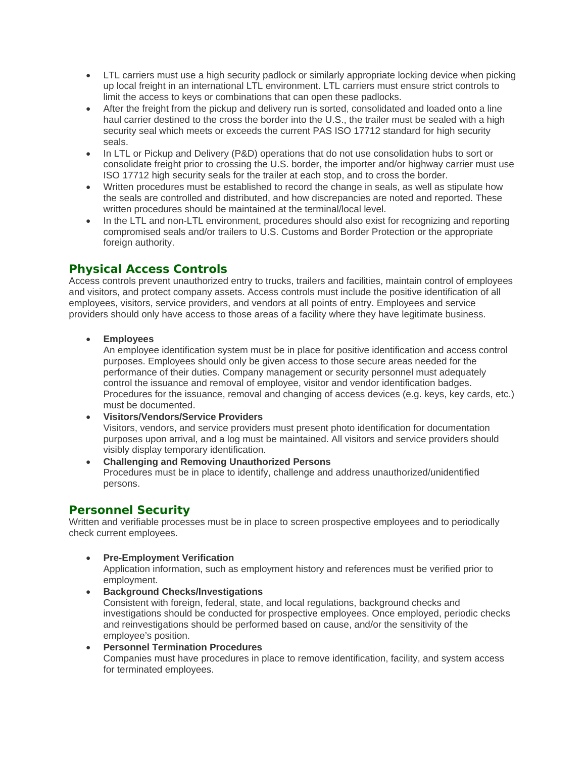- LTL carriers must use a high security padlock or similarly appropriate locking device when picking up local freight in an international LTL environment. LTL carriers must ensure strict controls to limit the access to keys or combinations that can open these padlocks.
- After the freight from the pickup and delivery run is sorted, consolidated and loaded onto a line haul carrier destined to the cross the border into the U.S., the trailer must be sealed with a high security seal which meets or exceeds the current PAS ISO 17712 standard for high security seals.
- In LTL or Pickup and Delivery (P&D) operations that do not use consolidation hubs to sort or consolidate freight prior to crossing the U.S. border, the importer and/or highway carrier must use ISO 17712 high security seals for the trailer at each stop, and to cross the border.
- Written procedures must be established to record the change in seals, as well as stipulate how the seals are controlled and distributed, and how discrepancies are noted and reported. These written procedures should be maintained at the terminal/local level.
- In the LTL and non-LTL environment, procedures should also exist for recognizing and reporting compromised seals and/or trailers to U.S. Customs and Border Protection or the appropriate foreign authority.

# **Physical Access Controls**

Access controls prevent unauthorized entry to trucks, trailers and facilities, maintain control of employees and visitors, and protect company assets. Access controls must include the positive identification of all employees, visitors, service providers, and vendors at all points of entry. Employees and service providers should only have access to those areas of a facility where they have legitimate business.

### **Employees**

An employee identification system must be in place for positive identification and access control purposes. Employees should only be given access to those secure areas needed for the performance of their duties. Company management or security personnel must adequately control the issuance and removal of employee, visitor and vendor identification badges. Procedures for the issuance, removal and changing of access devices (e.g. keys, key cards, etc.) must be documented.

### **Visitors/Vendors/Service Providers**

Visitors, vendors, and service providers must present photo identification for documentation purposes upon arrival, and a log must be maintained. All visitors and service providers should visibly display temporary identification.

 **Challenging and Removing Unauthorized Persons** Procedures must be in place to identify, challenge and address unauthorized/unidentified persons.

# **Personnel Security**

Written and verifiable processes must be in place to screen prospective employees and to periodically check current employees.

**Pre-Employment Verification**

Application information, such as employment history and references must be verified prior to employment.

- **Background Checks/Investigations** Consistent with foreign, federal, state, and local regulations, background checks and investigations should be conducted for prospective employees. Once employed, periodic checks and reinvestigations should be performed based on cause, and/or the sensitivity of the employee's position.
- **Personnel Termination Procedures** Companies must have procedures in place to remove identification, facility, and system access for terminated employees.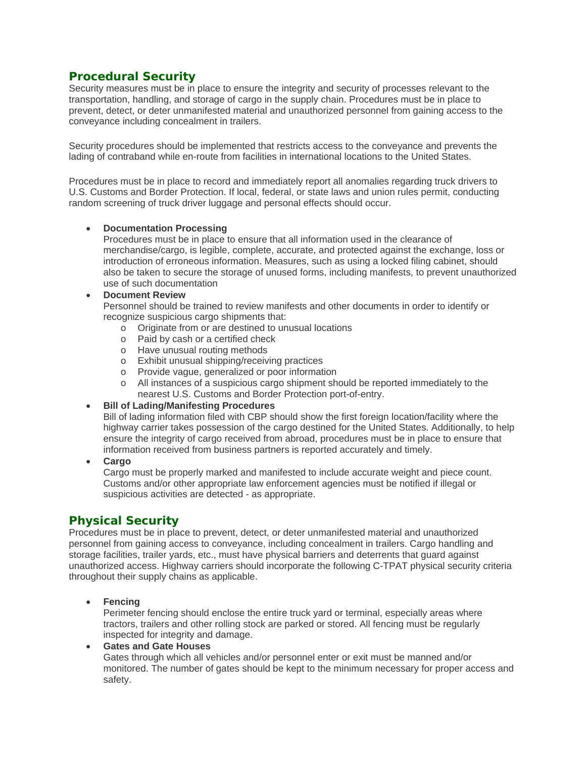### **Procedural Security**

Security measures must be in place to ensure the integrity and security of processes relevant to the transportation, handling, and storage of cargo in the supply chain. Procedures must be in place to prevent, detect, or deter unmanifested material and unauthorized personnel from gaining access to the conveyance including concealment in trailers.

Security procedures should be implemented that restricts access to the conveyance and prevents the lading of contraband while en-route from facilities in international locations to the United States.

Procedures must be in place to record and immediately report all anomalies regarding truck drivers to U.S. Customs and Border Protection. If local, federal, or state laws and union rules permit, conducting random screening of truck driver luggage and personal effects should occur.

### **Documentation Processing**

Procedures must be in place to ensure that all information used in the clearance of merchandise/cargo, is legible, complete, accurate, and protected against the exchange, loss or introduction of erroneous information. Measures, such as using a locked filing cabinet, should also be taken to secure the storage of unused forms, including manifests, to prevent unauthorized use of such documentation

### **Document Review**

Personnel should be trained to review manifests and other documents in order to identify or recognize suspicious cargo shipments that:

- o Originate from or are destined to unusual locations
- o Paid by cash or a certified check
- o Have unusual routing methods
- o Exhibit unusual shipping/receiving practices
- o Provide vague, generalized or poor information
- o All instances of a suspicious cargo shipment should be reported immediately to the nearest U.S. Customs and Border Protection port-of-entry.

#### **Bill of Lading/Manifesting Procedures**

Bill of lading information filed with CBP should show the first foreign location/facility where the highway carrier takes possession of the cargo destined for the United States. Additionally, to help ensure the integrity of cargo received from abroad, procedures must be in place to ensure that information received from business partners is reported accurately and timely.

#### **Cargo**

Cargo must be properly marked and manifested to include accurate weight and piece count. Customs and/or other appropriate law enforcement agencies must be notified if illegal or suspicious activities are detected - as appropriate.

### **Physical Security**

Procedures must be in place to prevent, detect, or deter unmanifested material and unauthorized personnel from gaining access to conveyance, including concealment in trailers. Cargo handling and storage facilities, trailer yards, etc., must have physical barriers and deterrents that guard against unauthorized access. Highway carriers should incorporate the following C-TPAT physical security criteria throughout their supply chains as applicable.

### **Fencing**

Perimeter fencing should enclose the entire truck yard or terminal, especially areas where tractors, trailers and other rolling stock are parked or stored. All fencing must be regularly inspected for integrity and damage.

### **Gates and Gate Houses**

Gates through which all vehicles and/or personnel enter or exit must be manned and/or monitored. The number of gates should be kept to the minimum necessary for proper access and safety.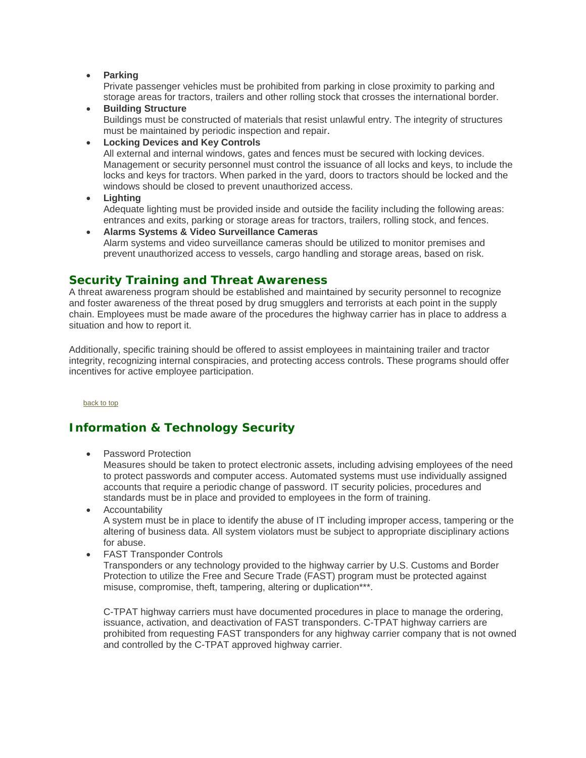#### • Parking

Private passenger vehicles must be prohibited from parking in close proximity to parking and storage areas for tractors, trailers and other rolling stock that crosses the international border.

- **Building Structure** Buildings must be constructed of materials that resist unlawful entry. The integrity of structures must be maintained by periodic inspection and repair.
- **Locking Devices and Key Controls**  $\bullet$

All external and internal windows, gates and fences must be secured with locking devices. Management or security personnel must control the issuance of all locks and keys, to include the locks and keys for tractors. When parked in the yard, doors to tractors should be locked and the windows should be closed to prevent unauthorized access.

• Lighting

Adequate lighting must be provided inside and outside the facility including the following areas: entrances and exits, parking or storage areas for tractors, trailers, rolling stock, and fences.

• Alarms Systems & Video Surveillance Cameras Alarm systems and video surveillance cameras should be utilized to monitor premises and prevent unauthorized access to vessels, cargo handling and storage areas, based on risk.

### **Security Training and Threat Awareness**

A threat awareness program should be established and maintained by security personnel to recognize and foster awareness of the threat posed by drug smugglers and terrorists at each point in the supply chain. Employees must be made aware of the procedures the highway carrier has in place to address a situation and how to report it.

Additionally, specific training should be offered to assist employees in maintaining trailer and tractor integrity, recognizing internal conspiracies, and protecting access controls. These programs should offer incentives for active employee participation.

back to top

# **Information & Technology Security**

Password Protection

Measures should be taken to protect electronic assets, including advising employees of the need to protect passwords and computer access. Automated systems must use individually assigned accounts that require a periodic change of password. IT security policies, procedures and standards must be in place and provided to employees in the form of training.

• Accountability

A system must be in place to identify the abuse of IT including improper access, tampering or the altering of business data. All system violators must be subject to appropriate disciplinary actions for abuse.

**FAST Transponder Controls** 

Transponders or any technology provided to the highway carrier by U.S. Customs and Border Protection to utilize the Free and Secure Trade (FAST) program must be protected against misuse, compromise, theft, tampering, altering or duplication\*\*\*.

C-TPAT highway carriers must have documented procedures in place to manage the ordering, issuance, activation, and deactivation of FAST transponders. C-TPAT highway carriers are prohibited from requesting FAST transponders for any highway carrier company that is not owned and controlled by the C-TPAT approved highway carrier.